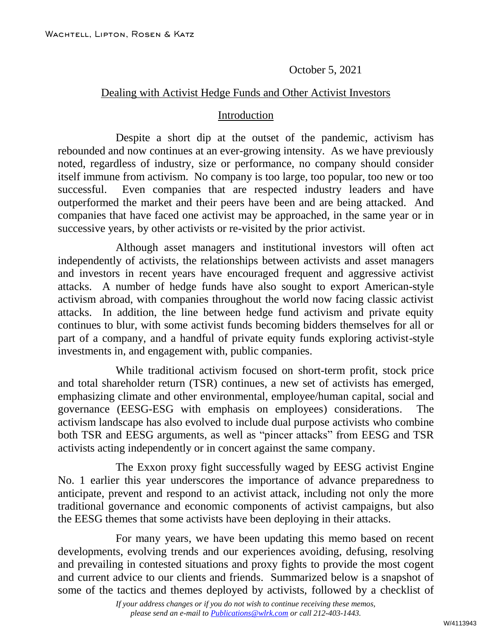October 5, 2021

### Dealing with Activist Hedge Funds and Other Activist Investors

#### Introduction

Despite a short dip at the outset of the pandemic, activism has rebounded and now continues at an ever-growing intensity. As we have previously noted, regardless of industry, size or performance, no company should consider itself immune from activism. No company is too large, too popular, too new or too successful. Even companies that are respected industry leaders and have outperformed the market and their peers have been and are being attacked. And companies that have faced one activist may be approached, in the same year or in successive years, by other activists or re-visited by the prior activist.

Although asset managers and institutional investors will often act independently of activists, the relationships between activists and asset managers and investors in recent years have encouraged frequent and aggressive activist attacks. A number of hedge funds have also sought to export American-style activism abroad, with companies throughout the world now facing classic activist attacks. In addition, the line between hedge fund activism and private equity continues to blur, with some activist funds becoming bidders themselves for all or part of a company, and a handful of private equity funds exploring activist-style investments in, and engagement with, public companies.

While traditional activism focused on short-term profit, stock price and total shareholder return (TSR) continues, a new set of activists has emerged, emphasizing climate and other environmental, employee/human capital, social and governance (EESG-ESG with emphasis on employees) considerations. The activism landscape has also evolved to include dual purpose activists who combine both TSR and EESG arguments, as well as "pincer attacks" from EESG and TSR activists acting independently or in concert against the same company.

The Exxon proxy fight successfully waged by EESG activist Engine No. 1 earlier this year underscores the importance of advance preparedness to anticipate, prevent and respond to an activist attack, including not only the more traditional governance and economic components of activist campaigns, but also the EESG themes that some activists have been deploying in their attacks.

For many years, we have been updating this memo based on recent developments, evolving trends and our experiences avoiding, defusing, resolving and prevailing in contested situations and proxy fights to provide the most cogent and current advice to our clients and friends. Summarized below is a snapshot of some of the tactics and themes deployed by activists, followed by a checklist of

*If your address changes or if you do not wish to continue receiving these memos, please send an e-mail to [Publications@wlrk.com](mailto:Publications@wlrk.com) or call 212-403-1443.*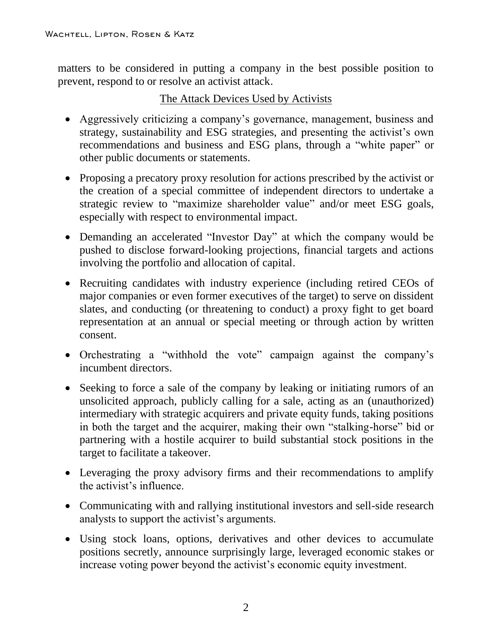matters to be considered in putting a company in the best possible position to prevent, respond to or resolve an activist attack.

## The Attack Devices Used by Activists

- Aggressively criticizing a company's governance, management, business and strategy, sustainability and ESG strategies, and presenting the activist's own recommendations and business and ESG plans, through a "white paper" or other public documents or statements.
- Proposing a precatory proxy resolution for actions prescribed by the activist or the creation of a special committee of independent directors to undertake a strategic review to "maximize shareholder value" and/or meet ESG goals, especially with respect to environmental impact.
- Demanding an accelerated "Investor Day" at which the company would be pushed to disclose forward-looking projections, financial targets and actions involving the portfolio and allocation of capital.
- Recruiting candidates with industry experience (including retired CEOs of major companies or even former executives of the target) to serve on dissident slates, and conducting (or threatening to conduct) a proxy fight to get board representation at an annual or special meeting or through action by written consent.
- Orchestrating a "withhold the vote" campaign against the company's incumbent directors.
- Seeking to force a sale of the company by leaking or initiating rumors of an unsolicited approach, publicly calling for a sale, acting as an (unauthorized) intermediary with strategic acquirers and private equity funds, taking positions in both the target and the acquirer, making their own "stalking-horse" bid or partnering with a hostile acquirer to build substantial stock positions in the target to facilitate a takeover.
- Leveraging the proxy advisory firms and their recommendations to amplify the activist's influence.
- Communicating with and rallying institutional investors and sell-side research analysts to support the activist's arguments.
- Using stock loans, options, derivatives and other devices to accumulate positions secretly, announce surprisingly large, leveraged economic stakes or increase voting power beyond the activist's economic equity investment.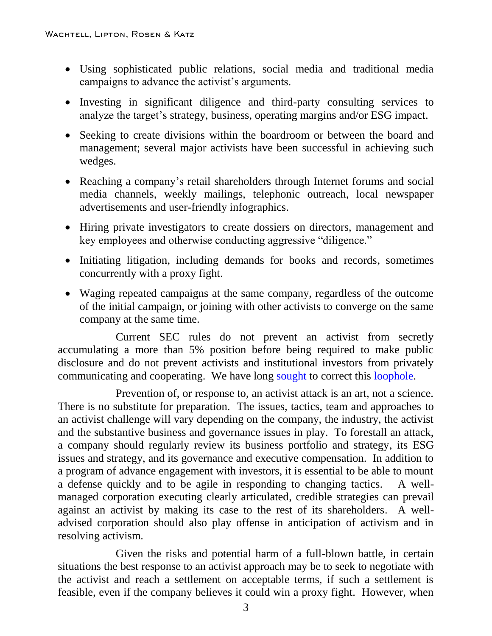- Using sophisticated public relations, social media and traditional media campaigns to advance the activist's arguments.
- Investing in significant diligence and third-party consulting services to analyze the target's strategy, business, operating margins and/or ESG impact.
- Seeking to create divisions within the boardroom or between the board and management; several major activists have been successful in achieving such wedges.
- Reaching a company's retail shareholders through Internet forums and social media channels, weekly mailings, telephonic outreach, local newspaper advertisements and user-friendly infographics.
- Hiring private investigators to create dossiers on directors, management and key employees and otherwise conducting aggressive "diligence."
- Initiating litigation, including demands for books and records, sometimes concurrently with a proxy fight.
- Waging repeated campaigns at the same company, regardless of the outcome of the initial campaign, or joining with other activists to converge on the same company at the same time.

Current SEC rules do not prevent an activist from secretly accumulating a more than 5% position before being required to make public disclosure and do not prevent activists and institutional investors from privately communicating and cooperating. We have long [sought](https://www.wlrk.com/webdocs/wlrknew/ClientMemos/WLRK/WLRK.27398.21.pdf) to correct this [loophole.](https://www.wlrk.com/webdocs/wlrknew/ClientMemos/WLRK/WLRK.27729.21.pdf)

Prevention of, or response to, an activist attack is an art, not a science. There is no substitute for preparation. The issues, tactics, team and approaches to an activist challenge will vary depending on the company, the industry, the activist and the substantive business and governance issues in play. To forestall an attack, a company should regularly review its business portfolio and strategy, its ESG issues and strategy, and its governance and executive compensation. In addition to a program of advance engagement with investors, it is essential to be able to mount a defense quickly and to be agile in responding to changing tactics. A wellmanaged corporation executing clearly articulated, credible strategies can prevail against an activist by making its case to the rest of its shareholders. A welladvised corporation should also play offense in anticipation of activism and in resolving activism.

Given the risks and potential harm of a full-blown battle, in certain situations the best response to an activist approach may be to seek to negotiate with the activist and reach a settlement on acceptable terms, if such a settlement is feasible, even if the company believes it could win a proxy fight. However, when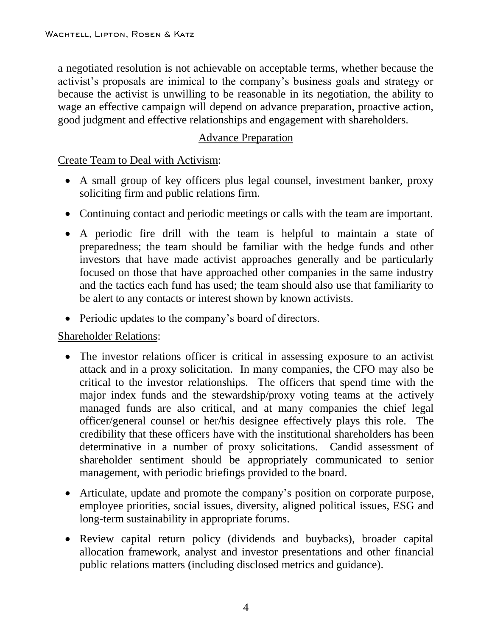a negotiated resolution is not achievable on acceptable terms, whether because the activist's proposals are inimical to the company's business goals and strategy or because the activist is unwilling to be reasonable in its negotiation, the ability to wage an effective campaign will depend on advance preparation, proactive action, good judgment and effective relationships and engagement with shareholders.

# Advance Preparation

## Create Team to Deal with Activism:

- A small group of key officers plus legal counsel, investment banker, proxy soliciting firm and public relations firm.
- Continuing contact and periodic meetings or calls with the team are important.
- A periodic fire drill with the team is helpful to maintain a state of preparedness; the team should be familiar with the hedge funds and other investors that have made activist approaches generally and be particularly focused on those that have approached other companies in the same industry and the tactics each fund has used; the team should also use that familiarity to be alert to any contacts or interest shown by known activists.
- Periodic updates to the company's board of directors.

# Shareholder Relations:

- The investor relations officer is critical in assessing exposure to an activist attack and in a proxy solicitation. In many companies, the CFO may also be critical to the investor relationships. The officers that spend time with the major index funds and the stewardship/proxy voting teams at the actively managed funds are also critical, and at many companies the chief legal officer/general counsel or her/his designee effectively plays this role. The credibility that these officers have with the institutional shareholders has been determinative in a number of proxy solicitations. Candid assessment of shareholder sentiment should be appropriately communicated to senior management, with periodic briefings provided to the board.
- Articulate, update and promote the company's position on corporate purpose, employee priorities, social issues, diversity, aligned political issues, ESG and long-term sustainability in appropriate forums.
- Review capital return policy (dividends and buybacks), broader capital allocation framework, analyst and investor presentations and other financial public relations matters (including disclosed metrics and guidance).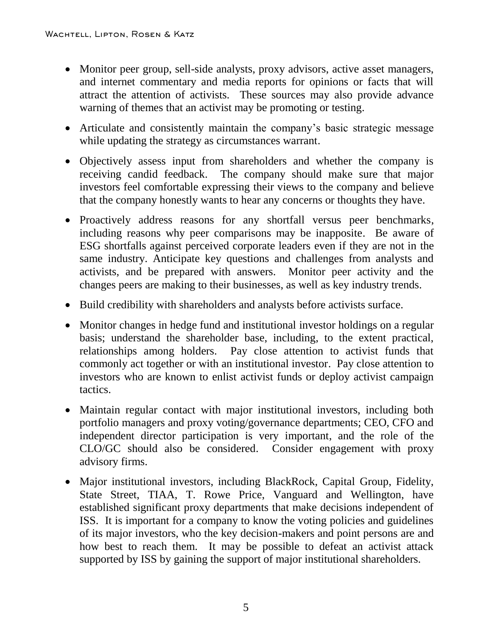- Monitor peer group, sell-side analysts, proxy advisors, active asset managers, and internet commentary and media reports for opinions or facts that will attract the attention of activists. These sources may also provide advance warning of themes that an activist may be promoting or testing.
- Articulate and consistently maintain the company's basic strategic message while updating the strategy as circumstances warrant.
- Objectively assess input from shareholders and whether the company is receiving candid feedback. The company should make sure that major investors feel comfortable expressing their views to the company and believe that the company honestly wants to hear any concerns or thoughts they have.
- Proactively address reasons for any shortfall versus peer benchmarks, including reasons why peer comparisons may be inapposite. Be aware of ESG shortfalls against perceived corporate leaders even if they are not in the same industry. Anticipate key questions and challenges from analysts and activists, and be prepared with answers. Monitor peer activity and the changes peers are making to their businesses, as well as key industry trends.
- Build credibility with shareholders and analysts before activists surface.
- Monitor changes in hedge fund and institutional investor holdings on a regular basis; understand the shareholder base, including, to the extent practical, relationships among holders. Pay close attention to activist funds that commonly act together or with an institutional investor. Pay close attention to investors who are known to enlist activist funds or deploy activist campaign tactics.
- Maintain regular contact with major institutional investors, including both portfolio managers and proxy voting/governance departments; CEO, CFO and independent director participation is very important, and the role of the CLO/GC should also be considered. Consider engagement with proxy advisory firms.
- Major institutional investors, including BlackRock, Capital Group, Fidelity, State Street, TIAA, T. Rowe Price, Vanguard and Wellington, have established significant proxy departments that make decisions independent of ISS. It is important for a company to know the voting policies and guidelines of its major investors, who the key decision-makers and point persons are and how best to reach them. It may be possible to defeat an activist attack supported by ISS by gaining the support of major institutional shareholders.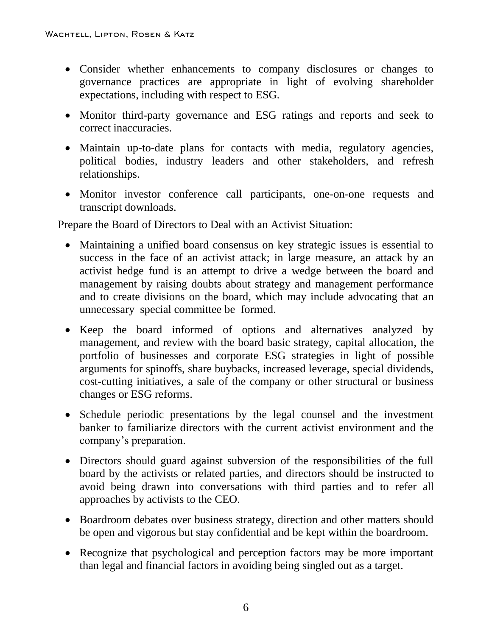- Consider whether enhancements to company disclosures or changes to governance practices are appropriate in light of evolving shareholder expectations, including with respect to ESG.
- Monitor third-party governance and ESG ratings and reports and seek to correct inaccuracies.
- Maintain up-to-date plans for contacts with media, regulatory agencies, political bodies, industry leaders and other stakeholders, and refresh relationships.
- Monitor investor conference call participants, one-on-one requests and transcript downloads.

### Prepare the Board of Directors to Deal with an Activist Situation:

- Maintaining a unified board consensus on key strategic issues is essential to success in the face of an activist attack; in large measure, an attack by an activist hedge fund is an attempt to drive a wedge between the board and management by raising doubts about strategy and management performance and to create divisions on the board, which may include advocating that an unnecessary special committee be formed.
- Keep the board informed of options and alternatives analyzed by management, and review with the board basic strategy, capital allocation, the portfolio of businesses and corporate ESG strategies in light of possible arguments for spinoffs, share buybacks, increased leverage, special dividends, cost-cutting initiatives, a sale of the company or other structural or business changes or ESG reforms.
- Schedule periodic presentations by the legal counsel and the investment banker to familiarize directors with the current activist environment and the company's preparation.
- Directors should guard against subversion of the responsibilities of the full board by the activists or related parties, and directors should be instructed to avoid being drawn into conversations with third parties and to refer all approaches by activists to the CEO.
- Boardroom debates over business strategy, direction and other matters should be open and vigorous but stay confidential and be kept within the boardroom.
- Recognize that psychological and perception factors may be more important than legal and financial factors in avoiding being singled out as a target.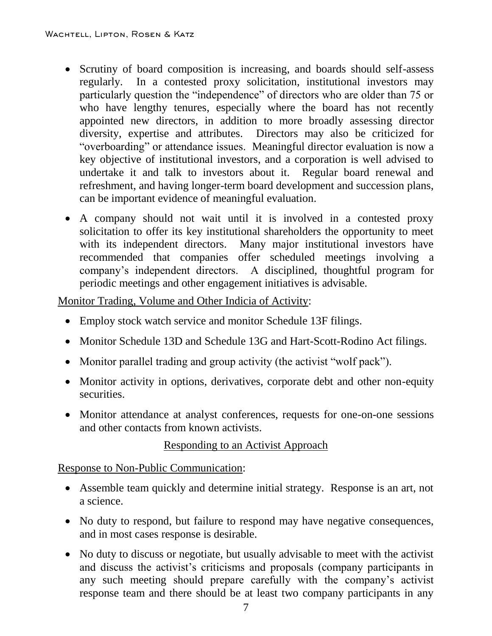- Scrutiny of board composition is increasing, and boards should self-assess regularly. In a contested proxy solicitation, institutional investors may particularly question the "independence" of directors who are older than 75 or who have lengthy tenures, especially where the board has not recently appointed new directors, in addition to more broadly assessing director diversity, expertise and attributes. Directors may also be criticized for "overboarding" or attendance issues. Meaningful director evaluation is now a key objective of institutional investors, and a corporation is well advised to undertake it and talk to investors about it. Regular board renewal and refreshment, and having longer-term board development and succession plans, can be important evidence of meaningful evaluation.
- A company should not wait until it is involved in a contested proxy solicitation to offer its key institutional shareholders the opportunity to meet with its independent directors. Many major institutional investors have recommended that companies offer scheduled meetings involving a company's independent directors. A disciplined, thoughtful program for periodic meetings and other engagement initiatives is advisable.

Monitor Trading, Volume and Other Indicia of Activity:

- Employ stock watch service and monitor Schedule 13F filings.
- Monitor Schedule 13D and Schedule 13G and Hart-Scott-Rodino Act filings.
- Monitor parallel trading and group activity (the activist "wolf pack").
- Monitor activity in options, derivatives, corporate debt and other non-equity securities.
- Monitor attendance at analyst conferences, requests for one-on-one sessions and other contacts from known activists.

Responding to an Activist Approach

Response to Non-Public Communication:

- Assemble team quickly and determine initial strategy. Response is an art, not a science.
- No duty to respond, but failure to respond may have negative consequences, and in most cases response is desirable.
- No duty to discuss or negotiate, but usually advisable to meet with the activist and discuss the activist's criticisms and proposals (company participants in any such meeting should prepare carefully with the company's activist response team and there should be at least two company participants in any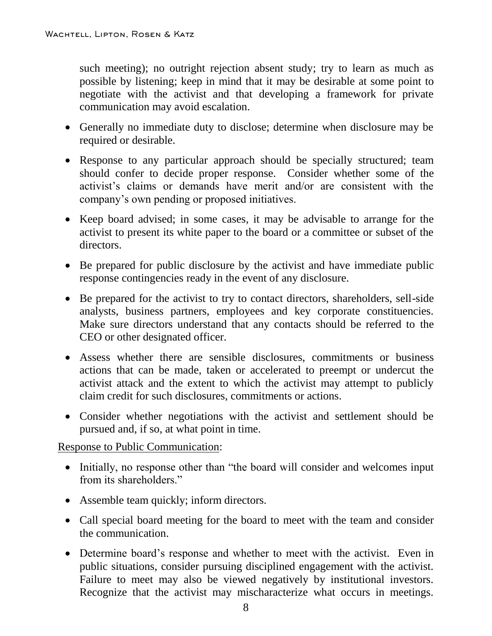such meeting); no outright rejection absent study; try to learn as much as possible by listening; keep in mind that it may be desirable at some point to negotiate with the activist and that developing a framework for private communication may avoid escalation.

- Generally no immediate duty to disclose; determine when disclosure may be required or desirable.
- Response to any particular approach should be specially structured; team should confer to decide proper response. Consider whether some of the activist's claims or demands have merit and/or are consistent with the company's own pending or proposed initiatives.
- Keep board advised; in some cases, it may be advisable to arrange for the activist to present its white paper to the board or a committee or subset of the directors.
- Be prepared for public disclosure by the activist and have immediate public response contingencies ready in the event of any disclosure.
- Be prepared for the activist to try to contact directors, shareholders, sell-side analysts, business partners, employees and key corporate constituencies. Make sure directors understand that any contacts should be referred to the CEO or other designated officer.
- Assess whether there are sensible disclosures, commitments or business actions that can be made, taken or accelerated to preempt or undercut the activist attack and the extent to which the activist may attempt to publicly claim credit for such disclosures, commitments or actions.
- Consider whether negotiations with the activist and settlement should be pursued and, if so, at what point in time.

Response to Public Communication:

- Initially, no response other than "the board will consider and welcomes input from its shareholders."
- Assemble team quickly; inform directors.
- Call special board meeting for the board to meet with the team and consider the communication.
- Determine board's response and whether to meet with the activist. Even in public situations, consider pursuing disciplined engagement with the activist. Failure to meet may also be viewed negatively by institutional investors. Recognize that the activist may mischaracterize what occurs in meetings.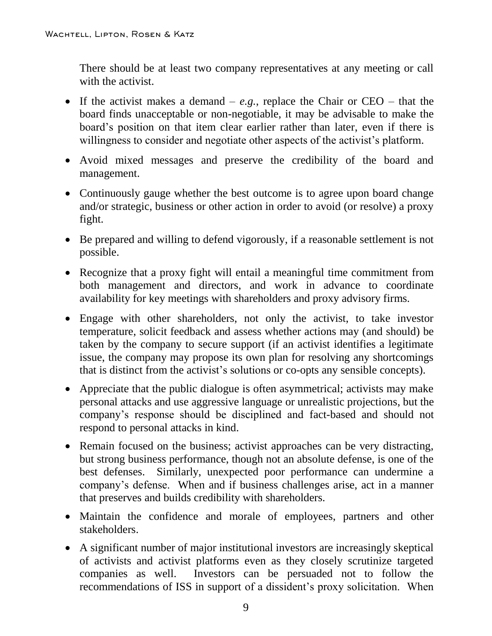There should be at least two company representatives at any meeting or call with the activist.

- If the activist makes a demand  $e.g.,$  replace the Chair or CEO that the board finds unacceptable or non-negotiable, it may be advisable to make the board's position on that item clear earlier rather than later, even if there is willingness to consider and negotiate other aspects of the activist's platform.
- Avoid mixed messages and preserve the credibility of the board and management.
- Continuously gauge whether the best outcome is to agree upon board change and/or strategic, business or other action in order to avoid (or resolve) a proxy fight.
- Be prepared and willing to defend vigorously, if a reasonable settlement is not possible.
- Recognize that a proxy fight will entail a meaningful time commitment from both management and directors, and work in advance to coordinate availability for key meetings with shareholders and proxy advisory firms.
- Engage with other shareholders, not only the activist, to take investor temperature, solicit feedback and assess whether actions may (and should) be taken by the company to secure support (if an activist identifies a legitimate issue, the company may propose its own plan for resolving any shortcomings that is distinct from the activist's solutions or co-opts any sensible concepts).
- Appreciate that the public dialogue is often asymmetrical; activists may make personal attacks and use aggressive language or unrealistic projections, but the company's response should be disciplined and fact-based and should not respond to personal attacks in kind.
- Remain focused on the business; activist approaches can be very distracting, but strong business performance, though not an absolute defense, is one of the best defenses. Similarly, unexpected poor performance can undermine a company's defense. When and if business challenges arise, act in a manner that preserves and builds credibility with shareholders.
- Maintain the confidence and morale of employees, partners and other stakeholders.
- A significant number of major institutional investors are increasingly skeptical of activists and activist platforms even as they closely scrutinize targeted companies as well. Investors can be persuaded not to follow the recommendations of ISS in support of a dissident's proxy solicitation. When